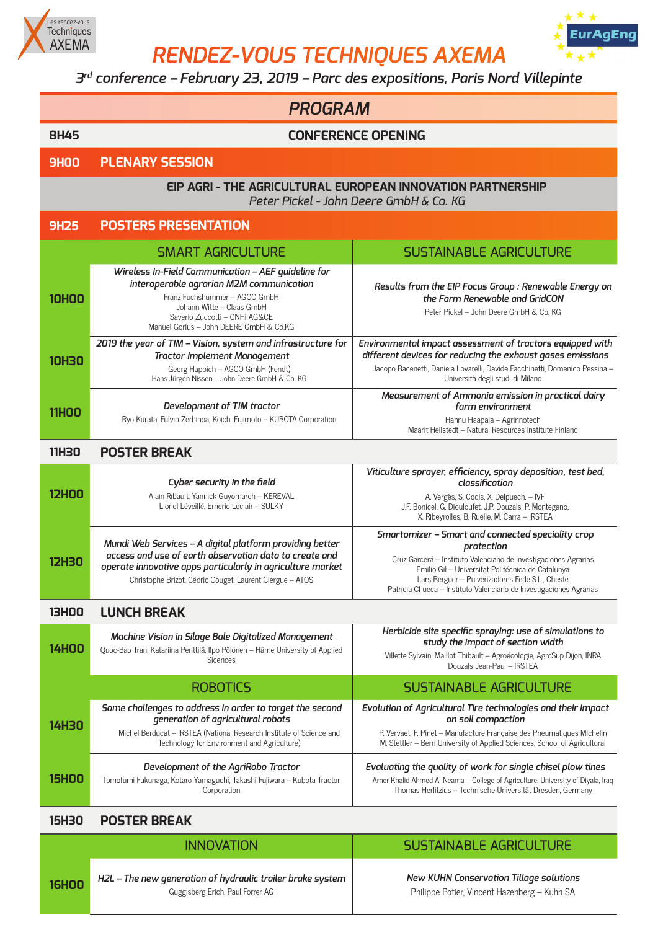

*RENDEZ-VOUS TECHNIQUES AXEMA*



## *3rd conference – February 23, 2019 – Parc des expositions, Paris Nord Villepinte*

|              | <b>PROGRAM</b>                                                                                                                                                                                                                               |                                                                                                                                                                                                                                                                                                                  |  |
|--------------|----------------------------------------------------------------------------------------------------------------------------------------------------------------------------------------------------------------------------------------------|------------------------------------------------------------------------------------------------------------------------------------------------------------------------------------------------------------------------------------------------------------------------------------------------------------------|--|
| <b>8H45</b>  | <b>CONFERENCE OPENING</b>                                                                                                                                                                                                                    |                                                                                                                                                                                                                                                                                                                  |  |
| <b>9HOO</b>  | <b>PLENARY SESSION</b>                                                                                                                                                                                                                       |                                                                                                                                                                                                                                                                                                                  |  |
|              | EIP AGRI - THE AGRICULTURAL EUROPEAN INNOVATION PARTNERSHIP<br>Peter Pickel - John Deere GmbH & Co. KG                                                                                                                                       |                                                                                                                                                                                                                                                                                                                  |  |
| <b>9H25</b>  | <b>POSTERS PRESENTATION</b>                                                                                                                                                                                                                  |                                                                                                                                                                                                                                                                                                                  |  |
|              | <b>SMART AGRICULTURE</b>                                                                                                                                                                                                                     | <b>SUSTAINABLE AGRICULTURE</b>                                                                                                                                                                                                                                                                                   |  |
| <b>10HOO</b> | Wireless In-Field Communication - AEF guideline for<br>interoperable agrarian M2M communication<br>Franz Fuchshummer - AGCO GmbH<br>Johann Witte - Claas GmbH<br>Saverio Zuccotti - CNHi AG&CE<br>Manuel Gorius - John DEERE GmbH & Co.KG    | Results from the EIP Focus Group : Renewable Energy on<br>the Farm Renewable and GridCON<br>Peter Pickel - John Deere GmbH & Co. KG                                                                                                                                                                              |  |
| <b>10H30</b> | 2019 the year of TIM - Vision, system and infrastructure for<br><b>Tractor Implement Management</b><br>Georg Happich - AGCO GmbH (Fendt)<br>Hans-Jürgen Nissen - John Deere GmbH & Co. KG                                                    | Environmental impact assessment of tractors equipped with<br>different devices for reducing the exhaust gases emissions<br>Jacopo Bacenetti, Daniela Lovarelli, Davide Facchinetti, Domenico Pessina -<br>Università degli studi di Milano                                                                       |  |
| <b>11HOO</b> | Development of TIM tractor<br>Ryo Kurata, Fulvio Zerbinoa, Koichi Fujimoto - KUBOTA Corporation                                                                                                                                              | Measurement of Ammonia emission in practical dairy<br>farm environment<br>Hannu Haapala - Agrinnotech<br>Maarit Hellstedt - Natural Resources Institute Finland                                                                                                                                                  |  |
| <b>11H30</b> | <b>POSTER BREAK</b>                                                                                                                                                                                                                          |                                                                                                                                                                                                                                                                                                                  |  |
| <b>12HOO</b> | Cyber security in the field<br>Alain Ribault, Yannick Guyomarch - KEREVAL<br>Lionel Léveillé, Emeric Leclair - SULKY                                                                                                                         | Viticulture sprayer, efficiency, spray deposition, test bed,<br>classification<br>A. Vergès, S. Codis, X. Delpuech. - IVF<br>J.F. Bonicel, G. Diouloufet, J.P. Douzals, P. Montegano,<br>X. Ribeyrolles, B. Ruelle, M. Carra - IRSTEA                                                                            |  |
| <b>12H30</b> | Mundi Web Services - A digital platform providing better<br>access and use of earth observation data to create and<br>operate innovative apps particularly in agriculture market<br>Christophe Brizot, Cédric Couget, Laurent Clergue - ATOS | Smartomizer - Smart and connected speciality crop<br>protection<br>Cruz Garcerá - Instituto Valenciano de Investigaciones Agrarias<br>Emilio Gil - Universitat Politécnica de Catalunya<br>Lars Berguer - Pulverizadores Fede S.L., Cheste<br>Patricia Chueca - Instituto Valenciano de Investigaciones Agrarias |  |
| <b>13H00</b> | <b>LUNCH BREAK</b>                                                                                                                                                                                                                           |                                                                                                                                                                                                                                                                                                                  |  |
| <b>14HOO</b> | Machine Vision in Silage Bale Digitalized Management<br>Quoc-Bao Tran, Katariina Penttilä, Ilpo Pölönen - Häme University of Applied<br><b>Sicences</b>                                                                                      | Herbicide site specific spraying: use of simulations to<br>study the impact of section width<br>Villette Sylvain, Maillot Thibault - Agroécologie, AgroSup Dijon, INRA<br>Douzals Jean-Paul - IRSTEA                                                                                                             |  |
|              | <b>ROBOTICS</b>                                                                                                                                                                                                                              | <b>SUSTAINABLE AGRICULTURE</b>                                                                                                                                                                                                                                                                                   |  |
| <b>14H30</b> | Some challenges to address in order to target the second<br>generation of agricultural robots<br>Michel Berducat - IRSTEA (National Research Institute of Science and<br>Technology for Environment and Agriculture)                         | Evolution of Agricultural Tire technologies and their impact<br>on soil compaction<br>P. Vervaet, F. Pinet - Manufacture Française des Pneumatiques Michelin<br>M. Stettler - Bern University of Applied Sciences, School of Agricultural                                                                        |  |
| <b>15HOO</b> | Development of the AgriRobo Tractor<br>Tomofumi Fukunaga, Kotaro Yamaguchi, Takashi Fujiwara - Kubota Tractor<br>Corporation                                                                                                                 | Evaluating the quality of work for single chisel plow tines<br>Amer Khalid Ahmed Al-Neama - College of Agriculture, University of Diyala, Iraq<br>Thomas Herlitzius - Technische Universität Dresden, Germany                                                                                                    |  |
| <b>15H30</b> | <b>POSTER BREAK</b>                                                                                                                                                                                                                          |                                                                                                                                                                                                                                                                                                                  |  |
|              | <b>INNOVATION</b>                                                                                                                                                                                                                            | <b>SUSTAINABLE AGRICULTURE</b>                                                                                                                                                                                                                                                                                   |  |

**16H00** *H2L – The new generation of hydraulic trailer brake system* Guggisberg Erich, Paul Forrer AG

*New KUHN Conservation Tillage solutions* Philippe Potier, Vincent Hazenberg – Kuhn SA